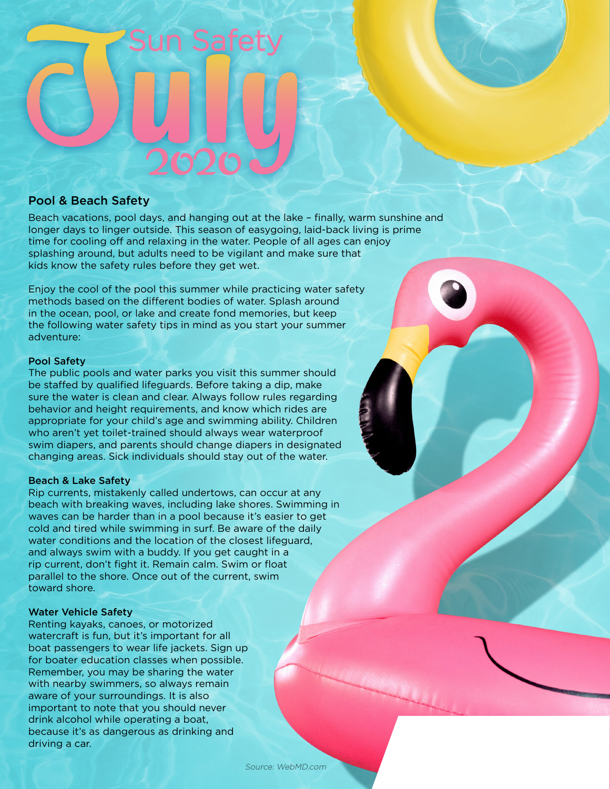#### Pool & Beach Safety

Beach vacations, pool days, and hanging out at the lake – finally, warm sunshine and longer days to linger outside. This season of easygoing, laid-back living is prime time for cooling off and relaxing in the water. People of all ages can enjoy splashing around, but adults need to be vigilant and make sure that kids know the safety rules before they get wet.

Enjoy the cool of the pool this summer while practicing water safety methods based on the different bodies of water. Splash around in the ocean, pool, or lake and create fond memories, but keep the following water safety tips in mind as you start your summer adventure:

#### Pool Safety

The public pools and water parks you visit this summer should be staffed by qualified lifeguards. Before taking a dip, make sure the water is clean and clear. Always follow rules regarding behavior and height requirements, and know which rides are appropriate for your child's age and swimming ability. Children who aren't yet toilet-trained should always wear waterproof swim diapers, and parents should change diapers in designated changing areas. Sick individuals should stay out of the water.

#### Beach & Lake Safety

Rip currents, mistakenly called undertows, can occur at any beach with breaking waves, including lake shores. Swimming in waves can be harder than in a pool because it's easier to get cold and tired while swimming in surf. Be aware of the daily water conditions and the location of the closest lifeguard, and always swim with a buddy. If you get caught in a rip current, don't fight it. Remain calm. Swim or float parallel to the shore. Once out of the current, swim toward shore.

#### Water Vehicle Safety

Renting kayaks, canoes, or motorized watercraft is fun, but it's important for all boat passengers to wear life jackets. Sign up for boater education classes when possible. Remember, you may be sharing the water with nearby swimmers, so always remain aware of your surroundings. It is also important to note that you should never drink alcohol while operating a boat, because it's as dangerous as drinking and driving a car.